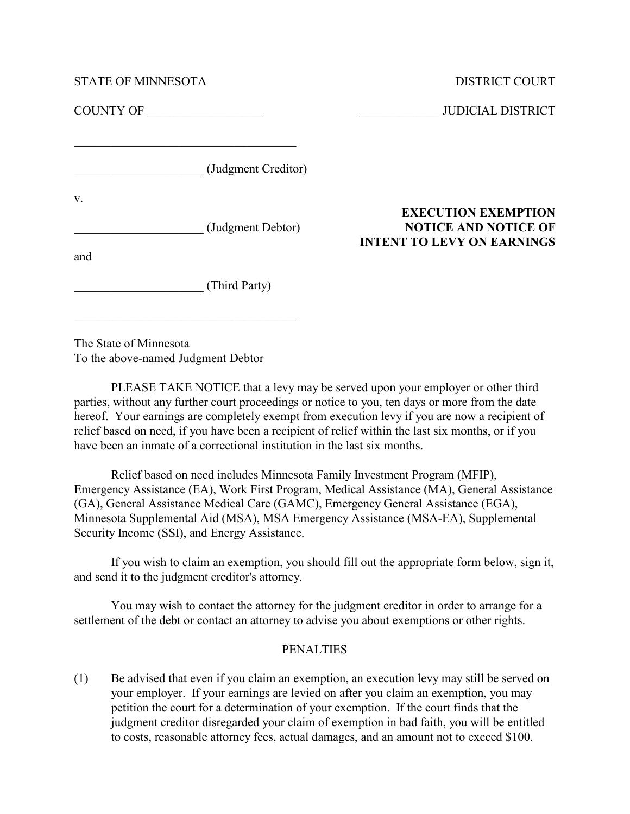STATE OF MINNESOTA DISTRICT COURT

COUNTY OF \_\_\_\_\_\_\_\_\_\_\_\_\_\_\_\_\_\_\_ \_\_\_\_\_\_\_\_\_\_\_\_\_ JUDICIAL DISTRICT

 $\_$  . The set of the set of the set of the set of the set of the set of the set of the set of the set of the set of the set of the set of the set of the set of the set of the set of the set of the set of the set of the se

\_\_\_\_\_\_\_\_\_\_\_\_\_\_\_\_\_\_\_\_\_ (Judgment Creditor)

v.

and

\_\_\_\_\_\_\_\_\_\_\_\_\_\_\_\_\_\_\_\_\_ (Third Party)

 $\_$  . The contribution of the contribution of  $\mathcal{L}_\mathcal{L}$ 

The State of Minnesota To the above-named Judgment Debtor

PLEASE TAKE NOTICE that a levy may be served upon your employer or other third parties, without any further court proceedings or notice to you, ten days or more from the date hereof. Your earnings are completely exempt from execution levy if you are now a recipient of relief based on need, if you have been a recipient of relief within the last six months, or if you have been an inmate of a correctional institution in the last six months.

Relief based on need includes Minnesota Family Investment Program (MFIP), Emergency Assistance (EA), Work First Program, Medical Assistance (MA), General Assistance (GA), General Assistance Medical Care (GAMC), Emergency General Assistance (EGA), Minnesota Supplemental Aid (MSA), MSA Emergency Assistance (MSA-EA), Supplemental Security Income (SSI), and Energy Assistance.

If you wish to claim an exemption, you should fill out the appropriate form below, sign it, and send it to the judgment creditor's attorney.

You may wish to contact the attorney for the judgment creditor in order to arrange for a settlement of the debt or contact an attorney to advise you about exemptions or other rights.

## PENALTIES

(1) Be advised that even if you claim an exemption, an execution levy may still be served on your employer. If your earnings are levied on after you claim an exemption, you may petition the court for a determination of your exemption. If the court finds that the judgment creditor disregarded your claim of exemption in bad faith, you will be entitled to costs, reasonable attorney fees, actual damages, and an amount not to exceed \$100.

## EXECUTION EXEMPTION \_\_\_\_\_\_\_\_\_\_\_\_\_\_\_\_\_\_\_\_\_ (Judgment Debtor) NOTICE AND NOTICE OF INTENT TO LEVY ON EARNINGS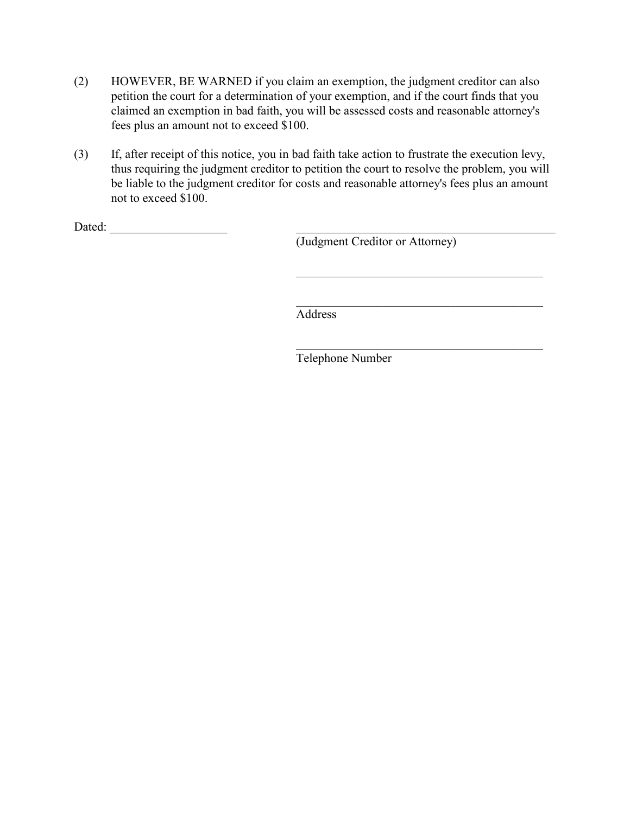- (2) HOWEVER, BE WARNED if you claim an exemption, the judgment creditor can also petition the court for a determination of your exemption, and if the court finds that you claimed an exemption in bad faith, you will be assessed costs and reasonable attorney's fees plus an amount not to exceed \$100.
- (3) If, after receipt of this notice, you in bad faith take action to frustrate the execution levy, thus requiring the judgment creditor to petition the court to resolve the problem, you will be liable to the judgment creditor for costs and reasonable attorney's fees plus an amount not to exceed \$100.

Dated: \_\_\_\_\_\_\_\_\_\_\_\_\_\_\_\_\_\_\_ \_\_\_\_\_\_\_\_\_\_\_\_\_\_\_\_\_\_\_\_\_\_\_\_\_\_\_\_\_\_\_\_\_\_\_\_\_\_\_\_\_\_

(Judgment Creditor or Attorney)

 $\_$  . The contribution of the contribution of  $\mathcal{L}_\mathcal{L}$ 

 $\_$  . The contribution of the contribution of  $\mathcal{L}_\mathcal{L}$ 

 $\_$  . The contribution of the contribution of  $\mathcal{L}_\mathcal{L}$ 

Address

Telephone Number